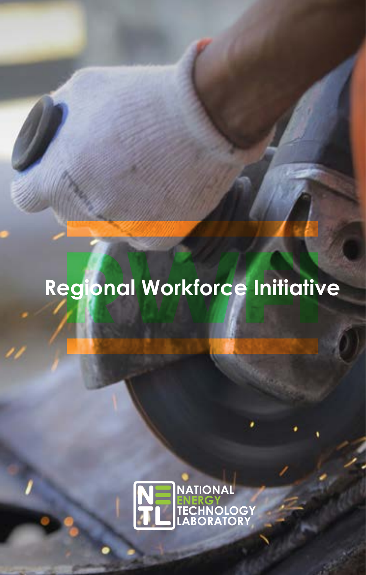# **Regional Workforce Initiative**

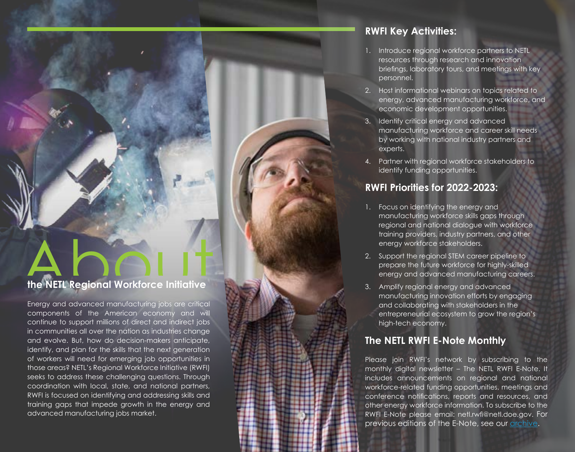# **the NETL Regional Workforce Initiative**

Energy and advanced manufacturing jobs are critical components of the American economy and will continue to support millions of direct and indirect jobs in communities all over the nation as industries change and evolve. But, how do decision-makers anticipate, identify, and plan for the skills that the next generation of workers will need for emerging job opportunities in those areas? NETL's Regional Workforce Initiative (RWFI) seeks to address these challenging questions. Through coordination with local, state, and national partners, RWFI is focused on identifying and addressing skills and training gaps that impede growth in the energy and advanced manufacturing jobs market.

## **RWFI Key Activities:**

- 1. Introduce regional workforce partners to NETL resources through research and innovation briefings, laboratory tours, and meetings with key personnel.
- 2. Host informational webinars on topics related to energy, advanced manufacturing workforce, and economic development opportunities.
- 3. Identify critical energy and advanced manufacturing workforce and career skill needs by working with national industry partners and experts.
- 4. Partner with regional workforce stakeholders to identify funding opportunities.

### **RWFI Priorities for 2022-2023:**

- 1. Focus on identifying the energy and manufacturing workforce skills gaps through regional and national dialogue with workforce training providers, industry partners, and other energy workforce stakeholders.
- 2. Support the regional STEM career pipeline to prepare the future workforce for highly-skilled energy and advanced manufacturing careers.
- 3. Amplify regional energy and advanced manufacturing innovation efforts by engaging and collaborating with stakeholders in the entrepreneurial ecosystem to grow the region's high-tech economy.

#### **The NETL RWFI E-Note Monthly**

Please join RWFI's network by subscribing to the monthly digital newsletter – The NETL RWFI E-Note. It includes announcements on regional and national workforce-related funding opportunities, meetings and conference notifications, reports and resources, and other energy workforce information. To subscribe to the RWFI E-Note please email: netl.rwfi@netl.doe.gov. For previous editions of the E-Note, see our [archive.](https://netl.doe.gov/business/enote-archive)